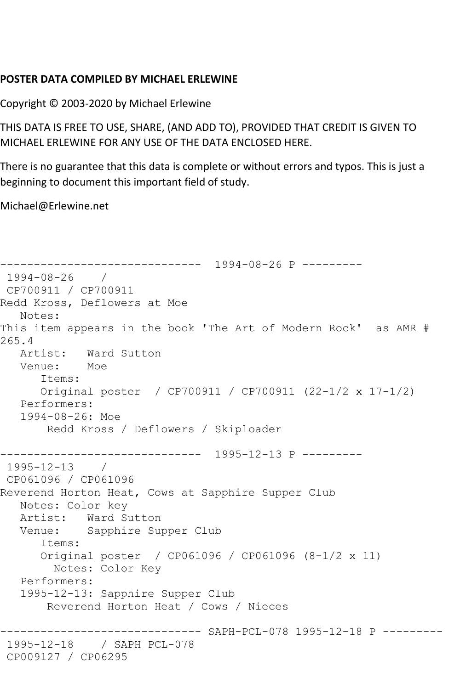## **POSTER DATA COMPILED BY MICHAEL ERLEWINE**

Copyright © 2003-2020 by Michael Erlewine

THIS DATA IS FREE TO USE, SHARE, (AND ADD TO), PROVIDED THAT CREDIT IS GIVEN TO MICHAEL ERLEWINE FOR ANY USE OF THE DATA ENCLOSED HERE.

There is no guarantee that this data is complete or without errors and typos. This is just a beginning to document this important field of study.

Michael@Erlewine.net

```
------------------------------ 1994-08-26 P ---------
1994-08-26 / 
CP700911 / CP700911
Redd Kross, Deflowers at Moe
   Notes: 
This item appears in the book 'The Art of Modern Rock' as AMR # 
265.4
   Artist: Ward Sutton
   Venue: Moe
       Items:
       Original poster / CP700911 / CP700911 (22-1/2 x 17-1/2)
   Performers:
    1994-08-26: Moe
        Redd Kross / Deflowers / Skiploader
         ------------------------------ 1995-12-13 P ---------
1995-12-13 / 
CP061096 / CP061096
Reverend Horton Heat, Cows at Sapphire Supper Club
   Notes: Color key
  Artist: Ward Sutton<br>Venue: Sapphire Sur
            Sapphire Supper Club
       Items:
       Original poster / CP061096 / CP061096 (8-1/2 x 11)
        Notes: Color Key
   Performers:
    1995-12-13: Sapphire Supper Club
        Reverend Horton Heat / Cows / Nieces
------------------------------ SAPH-PCL-078 1995-12-18 P ---------
1995-12-18 / SAPH PCL-078
CP009127 / CP06295
```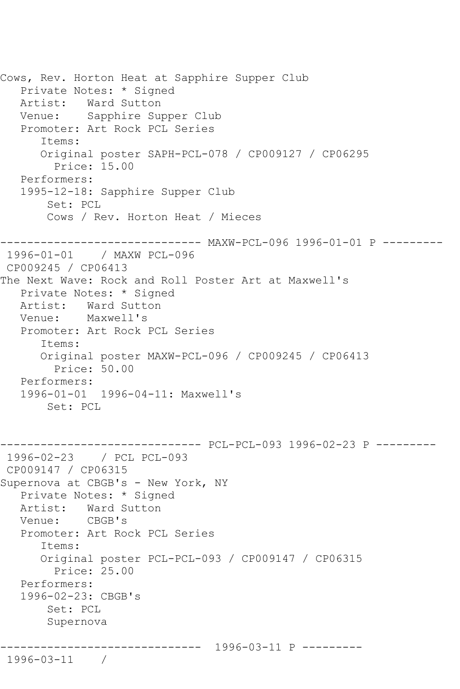Cows, Rev. Horton Heat at Sapphire Supper Club Private Notes: \* Signed Artist: Ward Sutton<br>Venue: Sapphire Su Sapphire Supper Club Promoter: Art Rock PCL Series Items: Original poster SAPH-PCL-078 / CP009127 / CP06295 Price: 15.00 Performers: 1995-12-18: Sapphire Supper Club Set: PCL Cows / Rev. Horton Heat / Mieces ----------------------------- MAXW-PCL-096 1996-01-01 P ---------<br>1996-01-01 / MAXW PCL-096 1996-01-01 / MAXW PCL-096 CP009245 / CP06413 The Next Wave: Rock and Roll Poster Art at Maxwell's Private Notes: \* Signed Artist: Ward Sutton<br>Venue: Maxwell's Maxwell's Promoter: Art Rock PCL Series Items: Original poster MAXW-PCL-096 / CP009245 / CP06413 Price: 50.00 Performers: 1996-01-01 1996-04-11: Maxwell's Set: PCL ------------------------------ PCL-PCL-093 1996-02-23 P --------- 1996-02-23 / PCL PCL-093 CP009147 / CP06315 Supernova at CBGB's - New York, NY Private Notes: \* Signed Artist: Ward Sutton<br>Venue: CBGB's Venue: Promoter: Art Rock PCL Series Items: Original poster PCL-PCL-093 / CP009147 / CP06315 Price: 25.00 Performers: 1996-02-23: CBGB's Set: PCL Supernova ------------------------------ 1996-03-11 P --------- 1996-03-11 /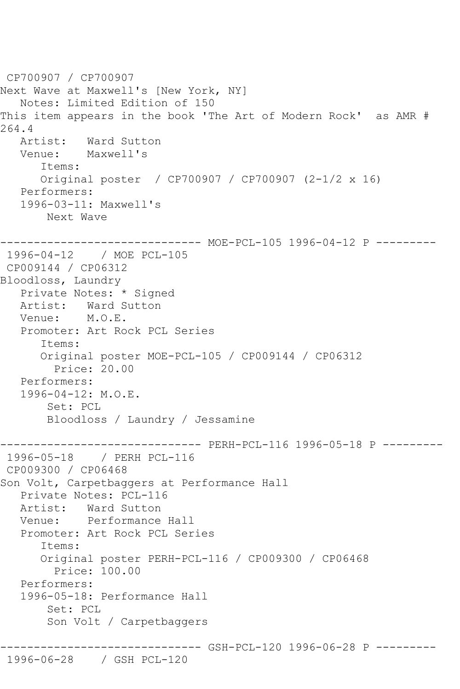```
CP700907 / CP700907
Next Wave at Maxwell's [New York, NY]
   Notes: Limited Edition of 150
This item appears in the book 'The Art of Modern Rock' as AMR # 
264.4<br>Artist:
  Artist: Ward Sutton<br>Venue: Maxwell's
            Maxwell's
       Items:
       Original poster / CP700907 / CP700907 (2-1/2 x 16)
   Performers:
    1996-03-11: Maxwell's
        Next Wave
------------------------------ MOE-PCL-105 1996-04-12 P ---------
1996-04-12 / MOE PCL-105
CP009144 / CP06312
Bloodloss, Laundry
    Private Notes: * Signed
  Artist: Ward Sutton<br>Venue: M.O.E.
  Venue:
    Promoter: Art Rock PCL Series
       Items:
       Original poster MOE-PCL-105 / CP009144 / CP06312
         Price: 20.00
    Performers:
    1996-04-12: M.O.E.
        Set: PCL
        Bloodloss / Laundry / Jessamine
------------------------------ PERH-PCL-116 1996-05-18 P ---------
1996-05-18 / PERH PCL-116
CP009300 / CP06468
Son Volt, Carpetbaggers at Performance Hall
   Private Notes: PCL-116
   Artist: Ward Sutton
   Venue: Performance Hall
    Promoter: Art Rock PCL Series
       Items:
       Original poster PERH-PCL-116 / CP009300 / CP06468
         Price: 100.00
    Performers:
    1996-05-18: Performance Hall
        Set: PCL
        Son Volt / Carpetbaggers
                 ------------------------------ GSH-PCL-120 1996-06-28 P ---------
1996-06-28 / GSH PCL-120
```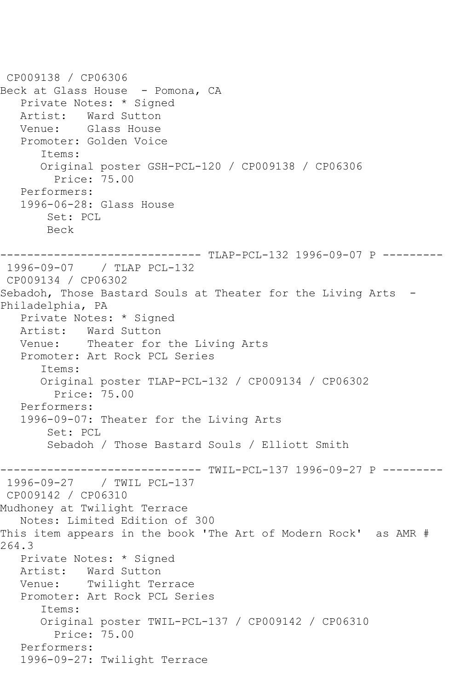```
CP009138 / CP06306
Beck at Glass House - Pomona, CA
   Private Notes: * Signed
  Artist: Ward Sutton<br>Venue: Glass House
           Glass House
   Promoter: Golden Voice
       Items:
       Original poster GSH-PCL-120 / CP009138 / CP06306
         Price: 75.00
   Performers:
    1996-06-28: Glass House
        Set: PCL
        Beck
     ------------------------------ TLAP-PCL-132 1996-09-07 P ---------
1996-09-07 / TLAP PCL-132
CP009134 / CP06302
Sebadoh, Those Bastard Souls at Theater for the Living Arts -
Philadelphia, PA
   Private Notes: * Signed
   Artist: Ward Sutton
   Venue: Theater for the Living Arts
   Promoter: Art Rock PCL Series
       Items:
       Original poster TLAP-PCL-132 / CP009134 / CP06302
         Price: 75.00
   Performers:
    1996-09-07: Theater for the Living Arts
        Set: PCL
        Sebadoh / Those Bastard Souls / Elliott Smith
                 -------------- TWIL-PCL-137 1996-09-27 P ---------
1996-09-27 / TWIL PCL-137
CP009142 / CP06310
Mudhoney at Twilight Terrace
    Notes: Limited Edition of 300
This item appears in the book 'The Art of Modern Rock' as AMR # 
264.3
   Private Notes: * Signed
   Artist: Ward Sutton
   Venue: Twilight Terrace
   Promoter: Art Rock PCL Series
       Items:
       Original poster TWIL-PCL-137 / CP009142 / CP06310
         Price: 75.00
   Performers:
    1996-09-27: Twilight Terrace
```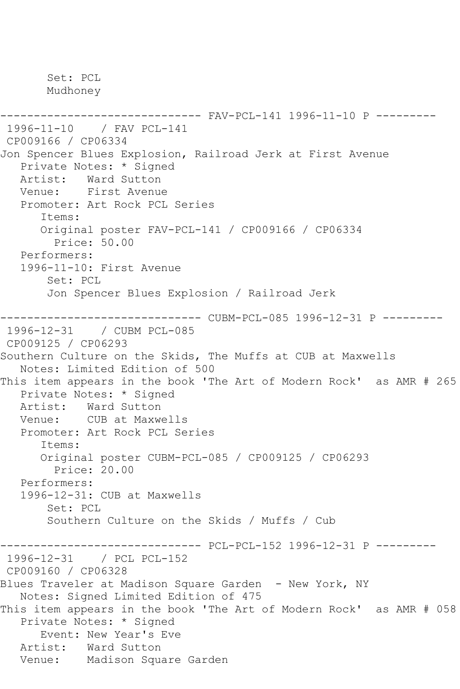Mudhoney ------------------------------ FAV-PCL-141 1996-11-10 P --------- 1996-11-10 / FAV PCL-141 CP009166 / CP06334 Jon Spencer Blues Explosion, Railroad Jerk at First Avenue Private Notes: \* Signed Artist: Ward Sutton Venue: First Avenue Promoter: Art Rock PCL Series Items: Original poster FAV-PCL-141 / CP009166 / CP06334 Price: 50.00 Performers: 1996-11-10: First Avenue Set: PCL Jon Spencer Blues Explosion / Railroad Jerk ------------------------------ CUBM-PCL-085 1996-12-31 P --------- 1996-12-31 / CUBM PCL-085 CP009125 / CP06293 Southern Culture on the Skids, The Muffs at CUB at Maxwells Notes: Limited Edition of 500 This item appears in the book 'The Art of Modern Rock' as AMR # 265 Private Notes: \* Signed Artist: Ward Sutton Venue: CUB at Maxwells Promoter: Art Rock PCL Series Items: Original poster CUBM-PCL-085 / CP009125 / CP06293 Price: 20.00 Performers: 1996-12-31: CUB at Maxwells Set: PCL Southern Culture on the Skids / Muffs / Cub ------------------------------ PCL-PCL-152 1996-12-31 P --------- 1996-12-31 / PCL PCL-152 CP009160 / CP06328 Blues Traveler at Madison Square Garden - New York, NY Notes: Signed Limited Edition of 475 This item appears in the book 'The Art of Modern Rock' as AMR # 058 Private Notes: \* Signed Event: New Year's Eve<br>Artist: Ward Sutton Ward Sutton

```
 Venue: Madison Square Garden
```
Set: PCL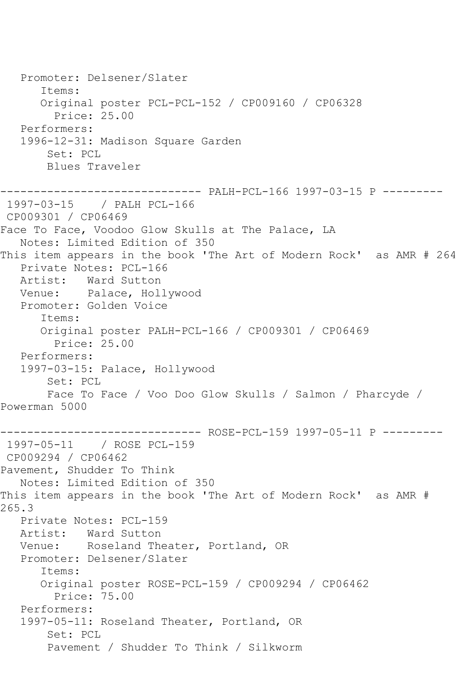```
 Promoter: Delsener/Slater
       Items:
       Original poster PCL-PCL-152 / CP009160 / CP06328
         Price: 25.00
    Performers:
    1996-12-31: Madison Square Garden
        Set: PCL
        Blues Traveler
------------------------------ PALH-PCL-166 1997-03-15 P ---------
1997-03-15 / PALH PCL-166
CP009301 / CP06469
Face To Face, Voodoo Glow Skulls at The Palace, LA
   Notes: Limited Edition of 350
This item appears in the book 'The Art of Modern Rock' as AMR # 264
  Private Notes: PCL-166<br>Artist: Ward Sutton
           Ward Sutton
   Venue: Palace, Hollywood
    Promoter: Golden Voice
       Items:
       Original poster PALH-PCL-166 / CP009301 / CP06469
         Price: 25.00
   Performers:
    1997-03-15: Palace, Hollywood
        Set: PCL
        Face To Face / Voo Doo Glow Skulls / Salmon / Pharcyde / 
Powerman 5000
------------------------------ ROSE-PCL-159 1997-05-11 P ---------
1997-05-11 / ROSE PCL-159
CP009294 / CP06462
Pavement, Shudder To Think
   Notes: Limited Edition of 350
This item appears in the book 'The Art of Modern Rock' as AMR # 
265.3
   Private Notes: PCL-159
   Artist: Ward Sutton
   Venue: Roseland Theater, Portland, OR
    Promoter: Delsener/Slater
       Items:
       Original poster ROSE-PCL-159 / CP009294 / CP06462
         Price: 75.00
    Performers:
    1997-05-11: Roseland Theater, Portland, OR
        Set: PCL
        Pavement / Shudder To Think / Silkworm
```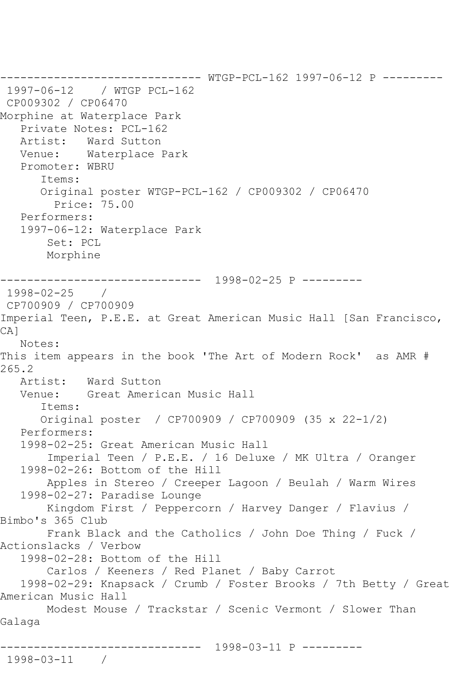------------------------------ WTGP-PCL-162 1997-06-12 P --------- 1997-06-12 / WTGP PCL-162 CP009302 / CP06470 Morphine at Waterplace Park Private Notes: PCL-162 Artist: Ward Sutton Venue: Waterplace Park Promoter: WBRU Items: Original poster WTGP-PCL-162 / CP009302 / CP06470 Price: 75.00 Performers: 1997-06-12: Waterplace Park Set: PCL Morphine ------------------------------ 1998-02-25 P --------- 1998-02-25 / CP700909 / CP700909 Imperial Teen, P.E.E. at Great American Music Hall [San Francisco, CA] Notes: This item appears in the book 'The Art of Modern Rock' as AMR # 265.2<br>: Artist Artist: Ward Sutton<br>Venue: Great Amerio Great American Music Hall Items: Original poster / CP700909 / CP700909 (35 x 22-1/2) Performers: 1998-02-25: Great American Music Hall Imperial Teen / P.E.E. / 16 Deluxe / MK Ultra / Oranger 1998-02-26: Bottom of the Hill Apples in Stereo / Creeper Lagoon / Beulah / Warm Wires 1998-02-27: Paradise Lounge Kingdom First / Peppercorn / Harvey Danger / Flavius / Bimbo's 365 Club Frank Black and the Catholics / John Doe Thing / Fuck / Actionslacks / Verbow 1998-02-28: Bottom of the Hill Carlos / Keeners / Red Planet / Baby Carrot 1998-02-29: Knapsack / Crumb / Foster Brooks / 7th Betty / Great American Music Hall Modest Mouse / Trackstar / Scenic Vermont / Slower Than Galaga ------------------------------ 1998-03-11 P --------- 1998-03-11 /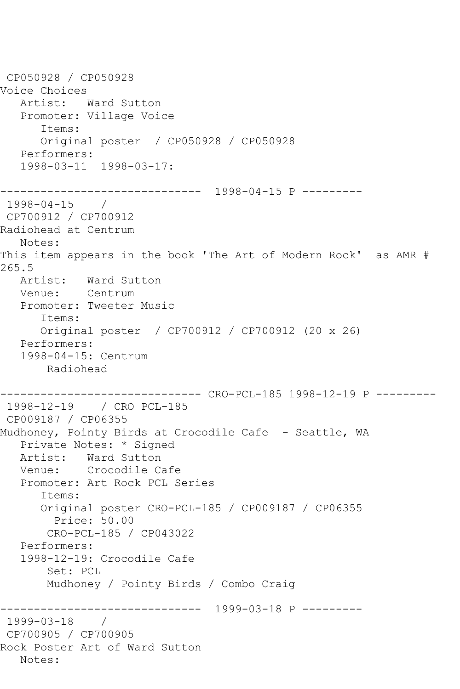CP050928 / CP050928 Voice Choices Artist: Ward Sutton Promoter: Village Voice Items: Original poster / CP050928 / CP050928 Performers: 1998-03-11 1998-03-17: ------------------------------ 1998-04-15 P --------- 1998-04-15 / CP700912 / CP700912 Radiohead at Centrum Notes: This item appears in the book 'The Art of Modern Rock' as AMR # 265.5 Artist: Ward Sutton Venue: Centrum Promoter: Tweeter Music Items: Original poster / CP700912 / CP700912 (20 x 26) Performers: 1998-04-15: Centrum Radiohead ------------------------------ CRO-PCL-185 1998-12-19 P --------- 1998-12-19 / CRO PCL-185 CP009187 / CP06355 Mudhoney, Pointy Birds at Crocodile Cafe - Seattle, WA Private Notes: \* Signed Artist: Ward Sutton Venue: Crocodile Cafe Promoter: Art Rock PCL Series Items: Original poster CRO-PCL-185 / CP009187 / CP06355 Price: 50.00 CRO-PCL-185 / CP043022 Performers: 1998-12-19: Crocodile Cafe Set: PCL Mudhoney / Pointy Birds / Combo Craig ------------------------------ 1999-03-18 P --------- 1999-03-18 / CP700905 / CP700905 Rock Poster Art of Ward Sutton Notes: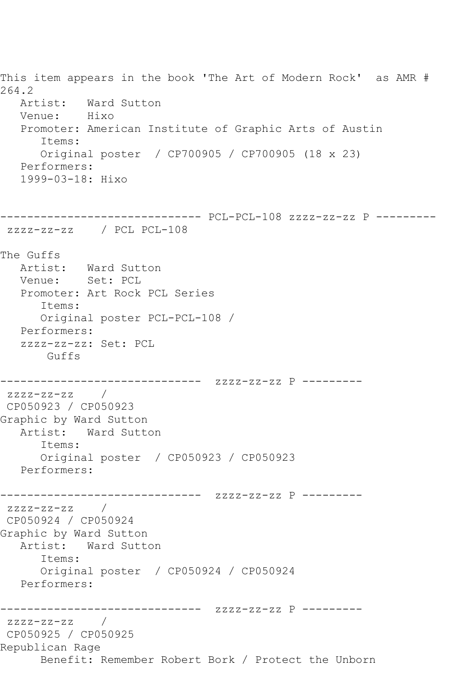This item appears in the book 'The Art of Modern Rock' as AMR # 264.2 Artist: Ward Sutton Venue: Hixo Promoter: American Institute of Graphic Arts of Austin Items: Original poster / CP700905 / CP700905 (18 x 23) Performers: 1999-03-18: Hixo ------------------------------ PCL-PCL-108 zzzz-zz-zz P -------- zzzz-zz-zz / PCL PCL-108 The Guffs<br>Artist: Ward Sutton Venue: Set: PCL Promoter: Art Rock PCL Series Items: Original poster PCL-PCL-108 / Performers: zzzz-zz-zz: Set: PCL Guffs ------------------------------ zzzz-zz-zz P -------- zzzz-zz-zz / CP050923 / CP050923 Graphic by Ward Sutton Artist: Ward Sutton Items: Original poster / CP050923 / CP050923 Performers: ------------------------------ zzzz-zz-zz P -------- zzzz-zz-zz / CP050924 / CP050924 Graphic by Ward Sutton Artist: Ward Sutton Items: Original poster / CP050924 / CP050924 Performers: ------------------------------ zzzz-zz-zz P -------- zzzz-zz-zz / CP050925 / CP050925 Republican Rage Benefit: Remember Robert Bork / Protect the Unborn